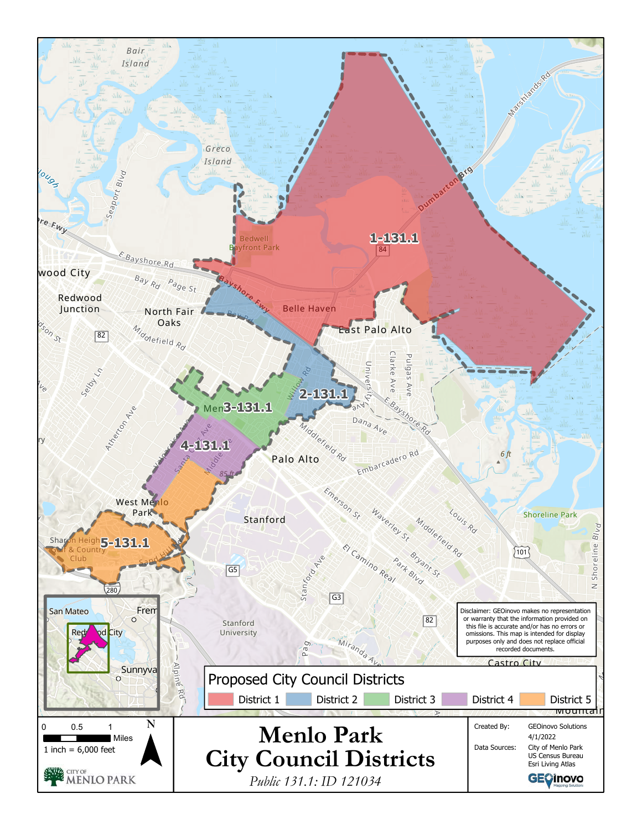